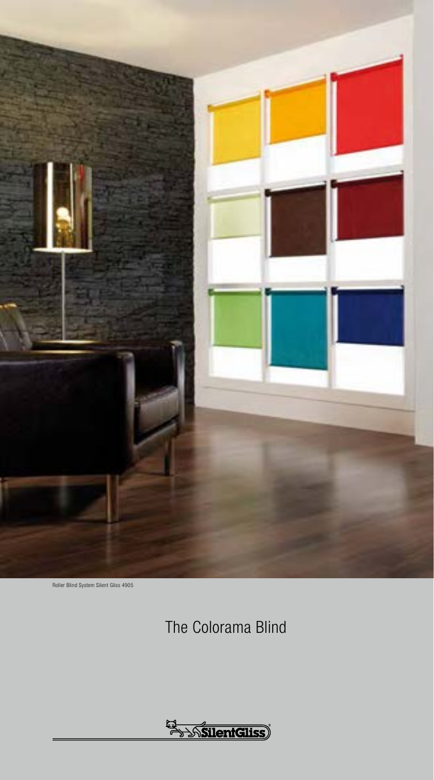

Roller Blind System Silent Gliss 4905

The Colorama Blind

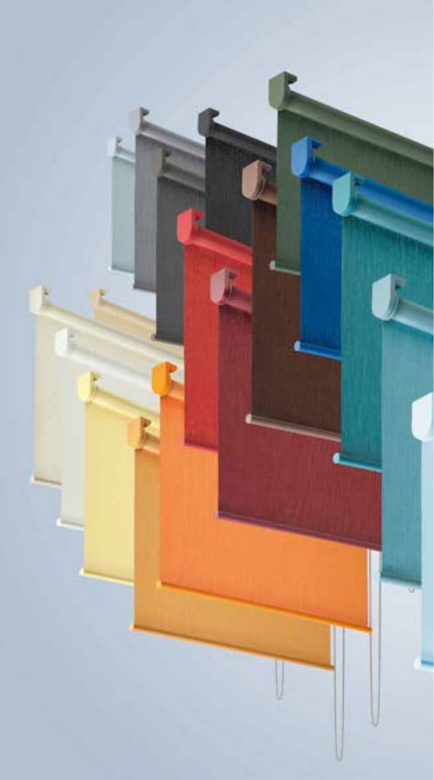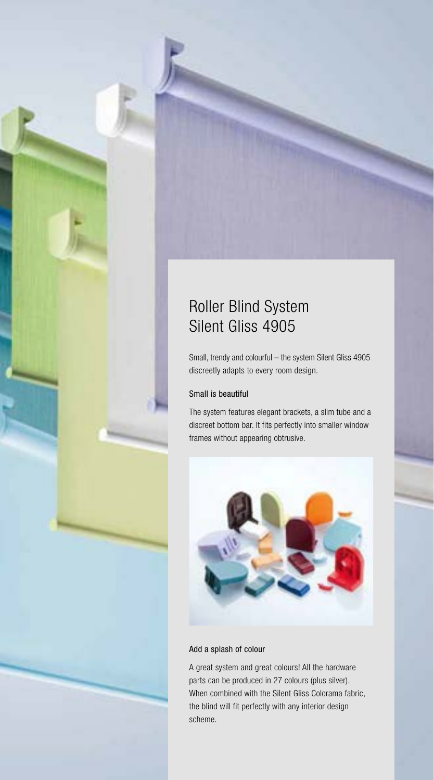### Roller Blind System Silent Gliss 4905

Small, trendy and colourful – the system Silent Gliss 4905 discreetly adapts to every room design.

#### Small is beautiful

The system features elegant brackets, a slim tube and a discreet bottom bar. It fits perfectly into smaller window frames without appearing obtrusive.



#### Add a splash of colour

A great system and great colours! All the hardware parts can be produced in 27 colours (plus silver). When combined with the Silent Gliss Colorama fabric, the blind will fit perfectly with any interior design scheme.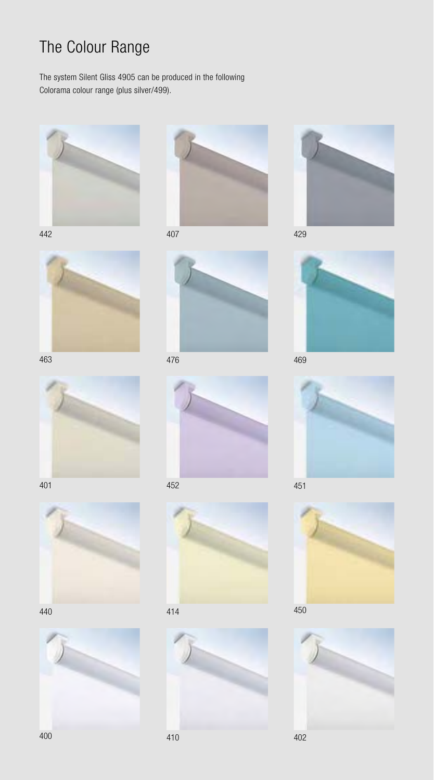# The Colour Range

The system Silent Gliss 4905 can be produced in the following Colorama colour range (plus silver/499).













407















451



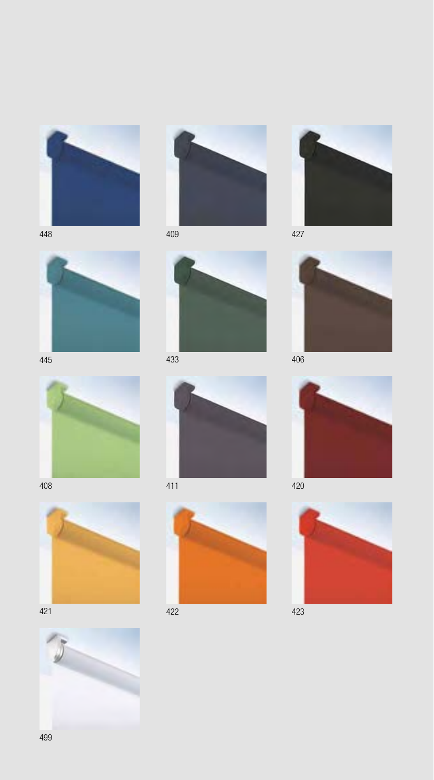























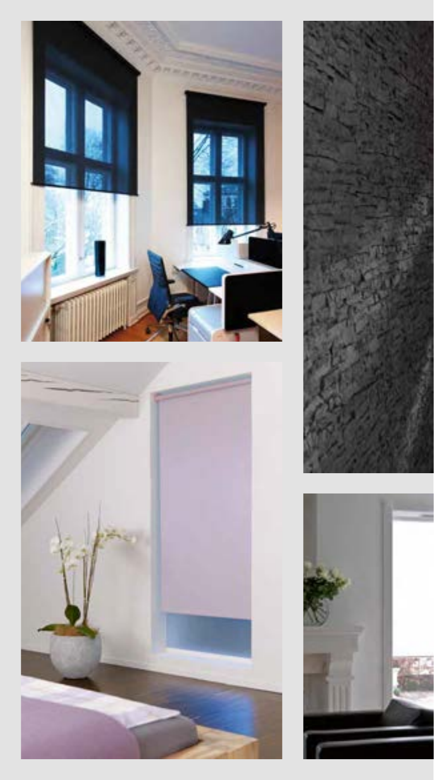





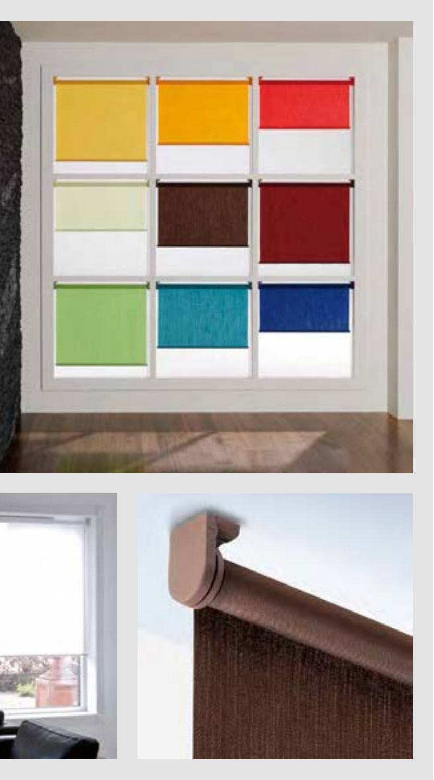

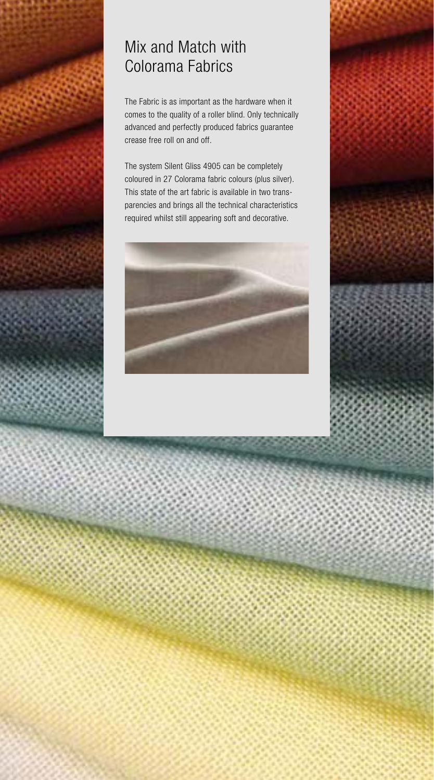## Mix and Match with Colorama Fabrics

The Fabric is as important as the hardware when it comes to the quality of a roller blind. Only technically advanced and perfectly produced fabrics guarantee crease free roll on and off.

The system Silent Gliss 4905 can be completely coloured in 27 Colorama fabric colours (plus silver). This state of the art fabric is available in two transparencies and brings all the technical characteristics required whilst still appearing soft and decorative.



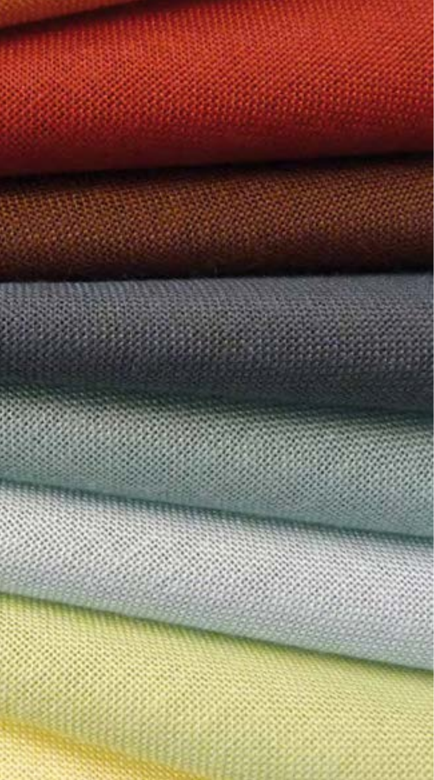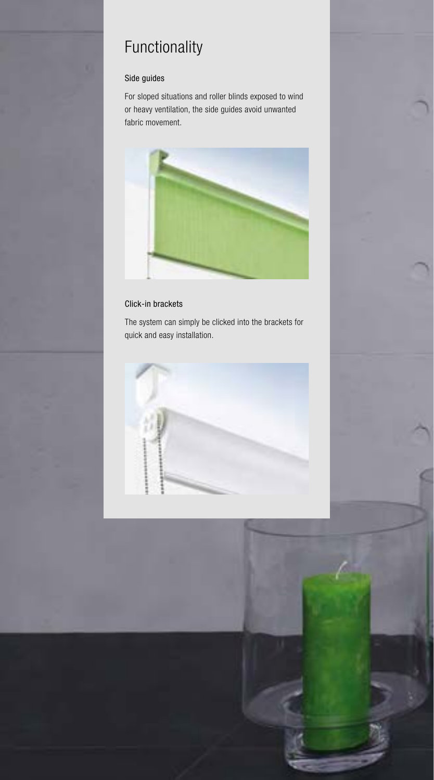# Functionality

### Side guides

For sloped situations and roller blinds exposed to wind or heavy ventilation, the side guides avoid unwanted fabric movement.



### Click-in brackets

The system can simply be clicked into the brackets for quick and easy installation.

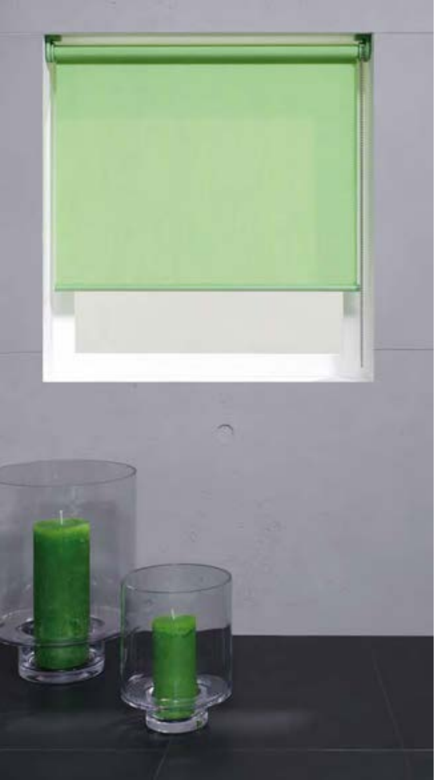